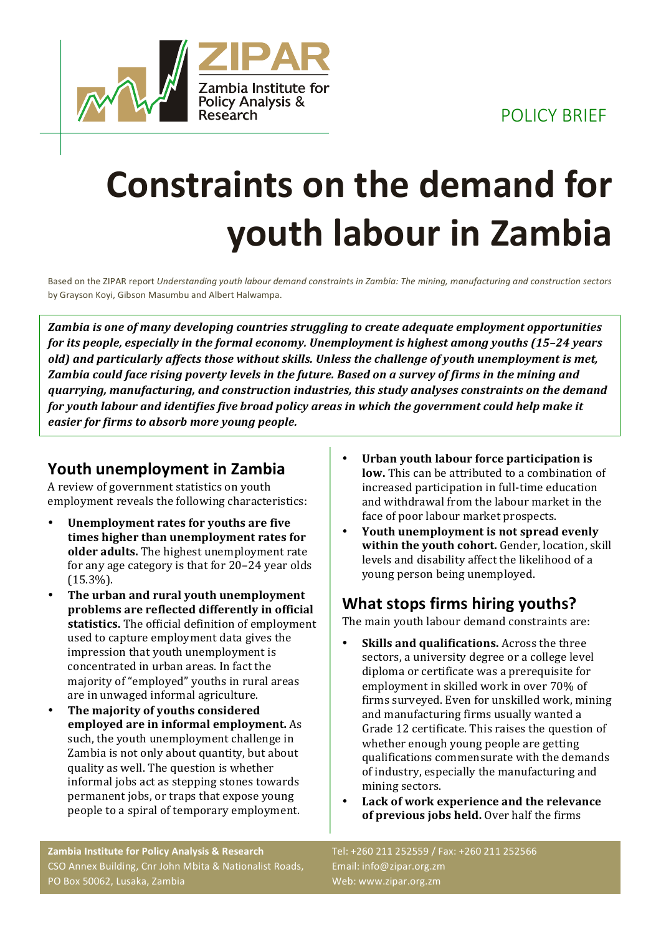POLICY BRIEF



## **Constraints on the demand for youth labour in Zambia**

Based on the ZIPAR report *Understanding youth labour demand constraints in Zambia: The mining, manufacturing and construction sectors* by Grayson Koyi, Gibson Masumbu and Albert Halwampa.

*Zambia is one of many developing countries struggling to create adequate employment opportunities for its people, especially in the formal economy. Unemployment is highest among youths (15-24 years* old) and particularly affects those without skills. Unless the challenge of youth unemployment is met, Zambia could face rising poverty levels in the future. Based on a survey of firms in the mining and *guarrying, manufacturing, and construction industries, this study analyses constraints on the demand for youth labour and identifies five broad policy areas in which the government could help make it easier for firms to absorb more young people.* 

## **Youth unemployment in Zambia**

A review of government statistics on youth employment reveals the following characteristics:

- **Unemployment rates for youths are five** times higher than unemployment rates for **older adults.** The highest unemployment rate for any age category is that for  $20-24$  year olds (15.3%).
- The urban and rural youth unemployment problems are reflected differently in official statistics. The official definition of employment used to capture employment data gives the impression that youth unemployment is concentrated in urban areas. In fact the majority of "employed" youths in rural areas are in unwaged informal agriculture.
- The majority of youths considered **employed are in informal employment.** As such, the youth unemployment challenge in Zambia is not only about quantity, but about quality as well. The question is whether informal jobs act as stepping stones towards permanent jobs, or traps that expose young people to a spiral of temporary employment.
- Urban youth labour force participation is **low.** This can be attributed to a combination of increased participation in full-time education and withdrawal from the labour market in the face of poor labour market prospects.
- **Youth unemployment is not spread evenly within the youth cohort.** Gender, location, skill levels and disability affect the likelihood of a young person being unemployed.

## **What stops firms hiring youths?**

The main youth labour demand constraints are:

- **Skills and qualifications.** Across the three sectors, a university degree or a college level diploma or certificate was a prerequisite for employment in skilled work in over 70% of firms surveyed. Even for unskilled work, mining and manufacturing firms usually wanted a Grade 12 certificate. This raises the question of whether enough young people are getting qualifications commensurate with the demands of industry, especially the manufacturing and mining sectors.
- Lack of work experience and the relevance **of previous jobs held.** Over half the firms

**Zambia Institute for Policy Analysis & Research** CSO Annex Building, Cnr John Mbita & Nationalist Roads, PO Box 50062, Lusaka, Zambia

Tel: +260 211 252559 / Fax: +260 211 252566 Email: info@zipar.org.zm Web: www.zipar.org.zm